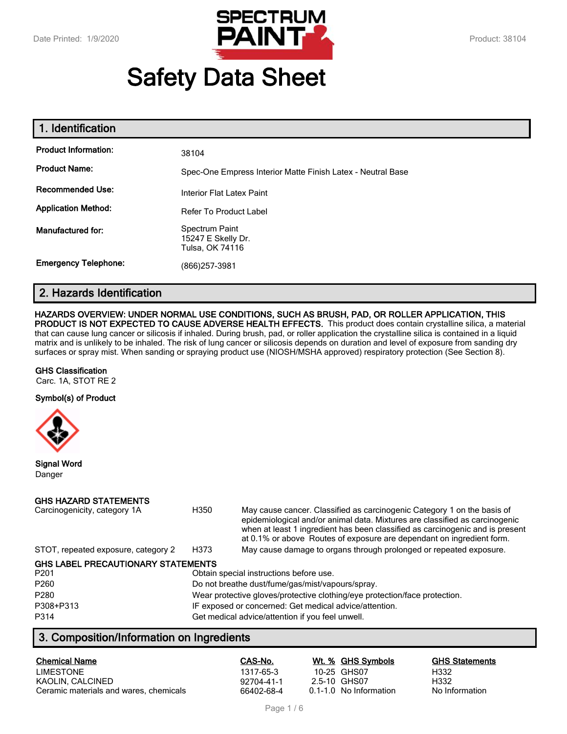

# **Safety Data Sheet**

| 1. Identification           |                                                             |
|-----------------------------|-------------------------------------------------------------|
| <b>Product Information:</b> | 38104                                                       |
| <b>Product Name:</b>        | Spec-One Empress Interior Matte Finish Latex - Neutral Base |
| <b>Recommended Use:</b>     | Interior Flat Latex Paint                                   |
| <b>Application Method:</b>  | <b>Refer To Product Label</b>                               |
| Manufactured for:           | Spectrum Paint<br>15247 E Skelly Dr.<br>Tulsa, OK 74116     |
| <b>Emergency Telephone:</b> | (866) 257-3981                                              |

# **2. Hazards Identification**

## **HAZARDS OVERVIEW: UNDER NORMAL USE CONDITIONS, SUCH AS BRUSH, PAD, OR ROLLER APPLICATION, THIS**

**PRODUCT IS NOT EXPECTED TO CAUSE ADVERSE HEALTH EFFECTS.** This product does contain crystalline silica, a material that can cause lung cancer or silicosis if inhaled. During brush, pad, or roller application the crystalline silica is contained in a liquid matrix and is unlikely to be inhaled. The risk of lung cancer or silicosis depends on duration and level of exposure from sanding dry surfaces or spray mist. When sanding or spraying product use (NIOSH/MSHA approved) respiratory protection (See Section 8).

#### **GHS Classification**

Carc. 1A, STOT RE 2

#### **Symbol(s) of Product**



**Signal Word** Danger

## **GHS HAZARD STATEMENTS**

| Carcinogenicity, category 1A              | H350                                                                       | May cause cancer. Classified as carcinogenic Category 1 on the basis of<br>epidemiological and/or animal data. Mixtures are classified as carcinogenic<br>when at least 1 ingredient has been classified as carcinogenic and is present<br>at 0.1% or above Routes of exposure are dependant on ingredient form. |  |
|-------------------------------------------|----------------------------------------------------------------------------|------------------------------------------------------------------------------------------------------------------------------------------------------------------------------------------------------------------------------------------------------------------------------------------------------------------|--|
| STOT, repeated exposure, category 2       | H373                                                                       | May cause damage to organs through prolonged or repeated exposure.                                                                                                                                                                                                                                               |  |
| <b>GHS LABEL PRECAUTIONARY STATEMENTS</b> |                                                                            |                                                                                                                                                                                                                                                                                                                  |  |
| P <sub>201</sub>                          |                                                                            | Obtain special instructions before use.                                                                                                                                                                                                                                                                          |  |
| P <sub>260</sub>                          | Do not breathe dust/fume/gas/mist/vapours/spray.                           |                                                                                                                                                                                                                                                                                                                  |  |
| P280                                      | Wear protective gloves/protective clothing/eye protection/face protection. |                                                                                                                                                                                                                                                                                                                  |  |
| P308+P313                                 | IF exposed or concerned: Get medical advice/attention.                     |                                                                                                                                                                                                                                                                                                                  |  |
| P314                                      |                                                                            | Get medical advice/attention if you feel unwell.                                                                                                                                                                                                                                                                 |  |

# **3. Composition/Information on Ingredients**

| <b>Chemical Name</b>                   | CAS-No.    |              | Wt. % GHS Symbols      | <b>GHS Statements</b> |
|----------------------------------------|------------|--------------|------------------------|-----------------------|
| <b>LIMESTONE</b>                       | 1317-65-3  | 10-25 GHS07  |                        | H332                  |
| KAOLIN, CALCINED                       | 92704-41-1 | 2.5-10 GHS07 |                        | H332                  |
| Ceramic materials and wares, chemicals | 66402-68-4 |              | 0.1-1.0 No Information | No Information        |

Page 1 / 6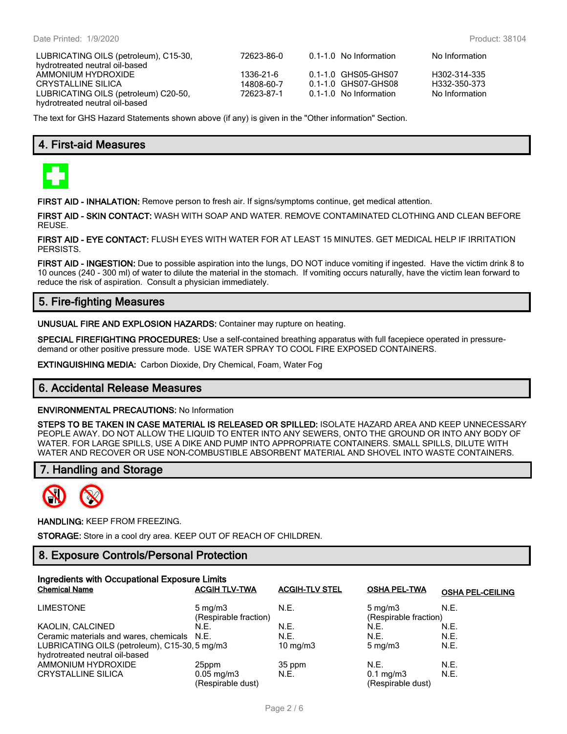LUBRICATING OILS (petroleum), C15-30, hydrotreated neutral oil-based AMMONIUM HYDROXIDE 1336-21-6 0.1-1.0 GHS05-GHS07 H302-314-335 LUBRICATING OILS (petroleum) C20-50, hydrotreated neutral oil-based

72623-86-0 0.1-1.0 No Information No Information 0.1-1.0 GHS07-GHS08 72623-87-1 0.1-1.0 No Information No Information

The text for GHS Hazard Statements shown above (if any) is given in the "Other information" Section.

# **4. First-aid Measures**



**FIRST AID - INHALATION:** Remove person to fresh air. If signs/symptoms continue, get medical attention.

**FIRST AID - SKIN CONTACT:** WASH WITH SOAP AND WATER. REMOVE CONTAMINATED CLOTHING AND CLEAN BEFORE REUSE.

**FIRST AID - EYE CONTACT:** FLUSH EYES WITH WATER FOR AT LEAST 15 MINUTES. GET MEDICAL HELP IF IRRITATION PERSISTS.

**FIRST AID - INGESTION:** Due to possible aspiration into the lungs, DO NOT induce vomiting if ingested. Have the victim drink 8 to 10 ounces (240 - 300 ml) of water to dilute the material in the stomach. If vomiting occurs naturally, have the victim lean forward to reduce the risk of aspiration. Consult a physician immediately.

# **5. Fire-fighting Measures**

**UNUSUAL FIRE AND EXPLOSION HAZARDS:** Container may rupture on heating.

**SPECIAL FIREFIGHTING PROCEDURES:** Use a self-contained breathing apparatus with full facepiece operated in pressuredemand or other positive pressure mode. USE WATER SPRAY TO COOL FIRE EXPOSED CONTAINERS.

**EXTINGUISHING MEDIA:** Carbon Dioxide, Dry Chemical, Foam, Water Fog

## **6. Accidental Release Measures**

#### **ENVIRONMENTAL PRECAUTIONS:** No Information

**STEPS TO BE TAKEN IN CASE MATERIAL IS RELEASED OR SPILLED:** ISOLATE HAZARD AREA AND KEEP UNNECESSARY PEOPLE AWAY. DO NOT ALLOW THE LIQUID TO ENTER INTO ANY SEWERS, ONTO THE GROUND OR INTO ANY BODY OF WATER. FOR LARGE SPILLS, USE A DIKE AND PUMP INTO APPROPRIATE CONTAINERS. SMALL SPILLS, DILUTE WITH WATER AND RECOVER OR USE NON-COMBUSTIBLE ABSORBENT MATERIAL AND SHOVEL INTO WASTE CONTAINERS.

## **7. Handling and Storage**



**HANDLING:** KEEP FROM FREEZING.

**STORAGE:** Store in a cool dry area. KEEP OUT OF REACH OF CHILDREN.

## **8. Exposure Controls/Personal Protection**

| Ingredients with Occupational Exposure Limits |                         |                       |                       |                         |  |
|-----------------------------------------------|-------------------------|-----------------------|-----------------------|-------------------------|--|
| <b>Chemical Name</b>                          | <b>ACGIH TLV-TWA</b>    | <b>ACGIH-TLV STEL</b> | <b>OSHA PEL-TWA</b>   | <b>OSHA PEL-CEILING</b> |  |
| <b>LIMESTONE</b>                              | $5 \text{ mg/m}$        | N.E.                  | $5 \text{ mg/m}$      | N.E.                    |  |
|                                               | (Respirable fraction)   |                       | (Respirable fraction) |                         |  |
| KAOLIN, CALCINED                              | N.E.                    | N.E.                  | N.E.                  | N.E.                    |  |
| Ceramic materials and wares, chemicals N.E.   |                         | N.E.                  | N.E.                  | N.E.                    |  |
| LUBRICATING OILS (petroleum), C15-30, 5 mg/m3 |                         | 10 mg/m $3$           | $5 \text{ mg/m}$      | N.E.                    |  |
| hydrotreated neutral oil-based                |                         |                       |                       |                         |  |
| AMMONIUM HYDROXIDE                            | 25ppm                   | 35 ppm                | N.E.                  | N.E.                    |  |
| <b>CRYSTALLINE SILICA</b>                     | $0.05 \,\mathrm{mg/m3}$ | N.E.                  | $0.1 \text{ mg/m}$    | N.E.                    |  |
|                                               | (Respirable dust)       |                       | (Respirable dust)     |                         |  |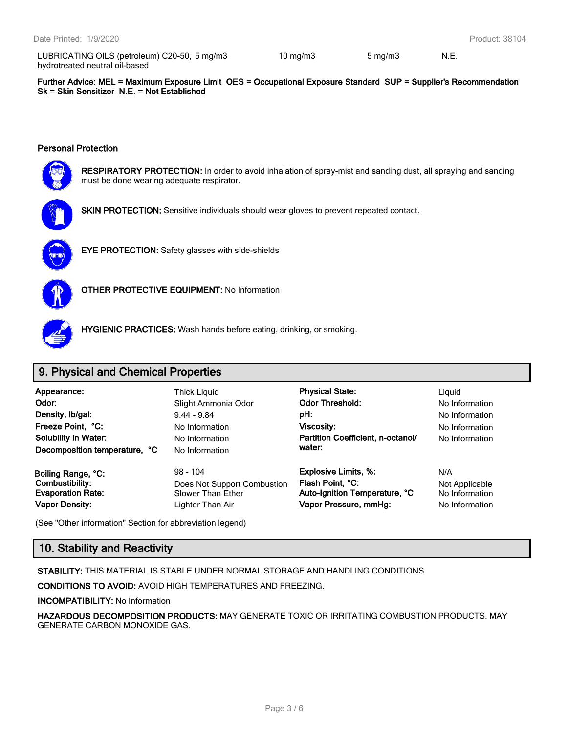LUBRICATING OILS (petroleum) C20-50, 5 mg/m3 hydrotreated neutral oil-based

5 mg/m3 10 mg/m3 5 mg/m3 N.E.

**Further Advice: MEL = Maximum Exposure Limit OES = Occupational Exposure Standard SUP = Supplier's Recommendation Sk = Skin Sensitizer N.E. = Not Established**

## **Personal Protection**



**RESPIRATORY PROTECTION:** In order to avoid inhalation of spray-mist and sanding dust, all spraying and sanding must be done wearing adequate respirator.



**SKIN PROTECTION:** Sensitive individuals should wear gloves to prevent repeated contact.



**EYE PROTECTION:** Safety glasses with side-shields



**OTHER PROTECTIVE EQUIPMENT:** No Information



**HYGIENIC PRACTICES:** Wash hands before eating, drinking, or smoking.

# **9. Physical and Chemical Properties**

| Appearance:                   | <b>Thick Liquid</b> | <b>Physical State:</b>            | Liauid         |
|-------------------------------|---------------------|-----------------------------------|----------------|
| Odor:                         | Slight Ammonia Odor | <b>Odor Threshold:</b>            | No Information |
| Density, Ib/gal:              | $9.44 - 9.84$       | pH:                               | No Information |
| Freeze Point, °C:             | No Information      | <b>Viscosity:</b>                 | No Information |
| <b>Solubility in Water:</b>   | No Information      | Partition Coefficient, n-octanol/ | No Information |
| Decomposition temperature, °C | No Information      | water:                            |                |

**No Information** 

**Vapor Density:** Lighter Than Air **Vapor Pressure, mmHg:** No Information

**Appearance:** Thick Liquid **Physical State:** Liquid Slight Ammonia Odor **Collact Codor Threshold:** No Information **Freeze Point Point Contracts Point Point Point Point Point Point Point Point Point Point Point Point Point Point Point Point Point Point Point Point Point Point Point Point Point Point Point Point Point Point Point Point water:**

**Boiling Range, °C:** 98 - 104 **Explosive Limits, %:** N/A **Combustibility:** Does Not Support Combustion **Flash Point, °C:** Not Applicable<br> **Evaporation Rate:** Slower Than Ether **Auto-Ignition Temperature, °C** No Information **Evaporation Rate:** Slower Than Ether **Auto-Ignition Temperature, °C** No Information

(See "Other information" Section for abbreviation legend)

# **10. Stability and Reactivity**

**STABILITY:** THIS MATERIAL IS STABLE UNDER NORMAL STORAGE AND HANDLING CONDITIONS.

**CONDITIONS TO AVOID:** AVOID HIGH TEMPERATURES AND FREEZING.

**INCOMPATIBILITY:** No Information

**HAZARDOUS DECOMPOSITION PRODUCTS:** MAY GENERATE TOXIC OR IRRITATING COMBUSTION PRODUCTS. MAY GENERATE CARBON MONOXIDE GAS.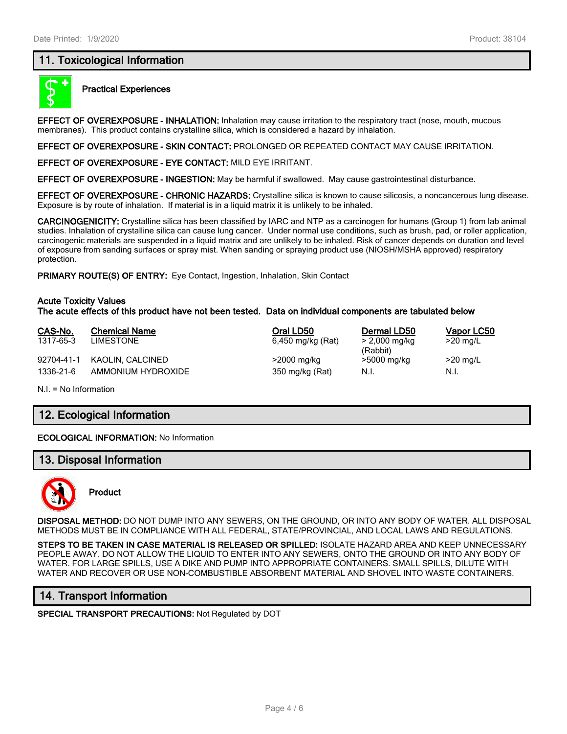## **11. Toxicological Information**



## **Practical Experiences**

**EFFECT OF OVEREXPOSURE - INHALATION:** Inhalation may cause irritation to the respiratory tract (nose, mouth, mucous membranes). This product contains crystalline silica, which is considered a hazard by inhalation.

**EFFECT OF OVEREXPOSURE - SKIN CONTACT:** PROLONGED OR REPEATED CONTACT MAY CAUSE IRRITATION.

**EFFECT OF OVEREXPOSURE - EYE CONTACT:** MILD EYE IRRITANT.

**EFFECT OF OVEREXPOSURE - INGESTION:** May be harmful if swallowed. May cause gastrointestinal disturbance.

**EFFECT OF OVEREXPOSURE - CHRONIC HAZARDS:** Crystalline silica is known to cause silicosis, a noncancerous lung disease. Exposure is by route of inhalation. If material is in a liquid matrix it is unlikely to be inhaled.

**CARCINOGENICITY:** Crystalline silica has been classified by IARC and NTP as a carcinogen for humans (Group 1) from lab animal studies. Inhalation of crystalline silica can cause lung cancer. Under normal use conditions, such as brush, pad, or roller application, carcinogenic materials are suspended in a liquid matrix and are unlikely to be inhaled. Risk of cancer depends on duration and level of exposure from sanding surfaces or spray mist. When sanding or spraying product use (NIOSH/MSHA approved) respiratory protection.

**PRIMARY ROUTE(S) OF ENTRY:** Eye Contact, Ingestion, Inhalation, Skin Contact

#### **Acute Toxicity Values The acute effects of this product have not been tested. Data on individual components are tabulated below**

| CAS-No.<br>1317-65-3 | <b>Chemical Name</b><br>LIMESTONE | Oral LD50<br>6,450 mg/kg (Rat) | Dermal LD50<br>> 2,000 mg/kg | Vapor LC50<br>$>20$ mg/L |
|----------------------|-----------------------------------|--------------------------------|------------------------------|--------------------------|
| 92704-41-1           | KAOLIN, CALCINED                  | >2000 mg/kg                    | (Rabbit)<br>>5000 mg/kg      | $>20$ mg/L               |
| 1336-21-6            | AMMONIUM HYDROXIDE                | 350 mg/kg (Rat)                | N.I.                         | N.I.                     |

N.I. = No Information

# **12. Ecological Information**

#### **ECOLOGICAL INFORMATION:** No Information

## **13. Disposal Information**



**Product**

**DISPOSAL METHOD:** DO NOT DUMP INTO ANY SEWERS, ON THE GROUND, OR INTO ANY BODY OF WATER. ALL DISPOSAL METHODS MUST BE IN COMPLIANCE WITH ALL FEDERAL, STATE/PROVINCIAL, AND LOCAL LAWS AND REGULATIONS.

**STEPS TO BE TAKEN IN CASE MATERIAL IS RELEASED OR SPILLED:** ISOLATE HAZARD AREA AND KEEP UNNECESSARY PEOPLE AWAY. DO NOT ALLOW THE LIQUID TO ENTER INTO ANY SEWERS, ONTO THE GROUND OR INTO ANY BODY OF WATER. FOR LARGE SPILLS, USE A DIKE AND PUMP INTO APPROPRIATE CONTAINERS. SMALL SPILLS, DILUTE WITH WATER AND RECOVER OR USE NON-COMBUSTIBLE ABSORBENT MATERIAL AND SHOVEL INTO WASTE CONTAINERS.

# **14. Transport Information**

**SPECIAL TRANSPORT PRECAUTIONS:** Not Regulated by DOT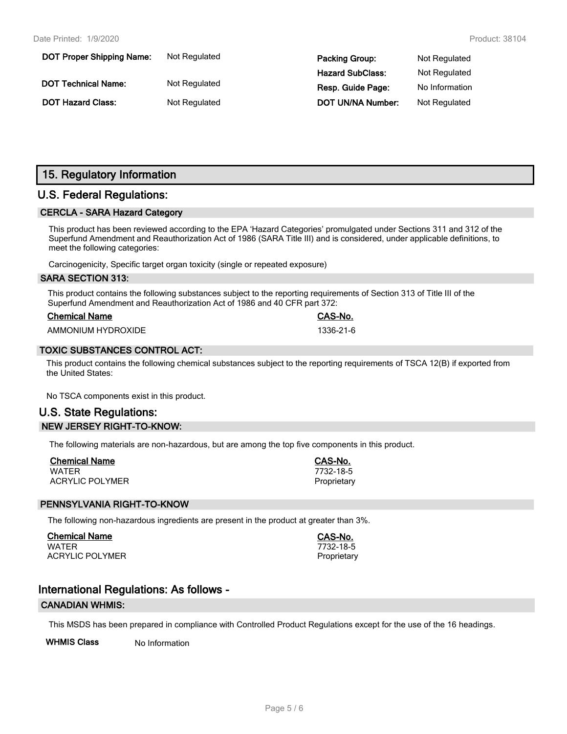| <b>DOT Proper Shipping Name:</b> | Not Regulated | <b>Packing Group:</b>    | Not Regulated  |
|----------------------------------|---------------|--------------------------|----------------|
|                                  |               | <b>Hazard SubClass:</b>  | Not Regulated  |
| <b>DOT Technical Name:</b>       | Not Regulated | Resp. Guide Page:        | No Information |
| <b>DOT Hazard Class:</b>         | Not Regulated | <b>DOT UN/NA Number:</b> | Not Regulated  |

# **15. Regulatory Information**

# **U.S. Federal Regulations:**

## **CERCLA - SARA Hazard Category**

This product has been reviewed according to the EPA 'Hazard Categories' promulgated under Sections 311 and 312 of the Superfund Amendment and Reauthorization Act of 1986 (SARA Title III) and is considered, under applicable definitions, to meet the following categories:

Carcinogenicity, Specific target organ toxicity (single or repeated exposure)

## **SARA SECTION 313:**

This product contains the following substances subject to the reporting requirements of Section 313 of Title III of the Superfund Amendment and Reauthorization Act of 1986 and 40 CFR part 372:

| <b>Chemical Name</b> |  |
|----------------------|--|
|                      |  |

AMMONIUM HYDROXIDE 1336-21-6

## **TOXIC SUBSTANCES CONTROL ACT:**

This product contains the following chemical substances subject to the reporting requirements of TSCA 12(B) if exported from the United States:

**Chemical Name CAS-No.**

No TSCA components exist in this product.

# **U.S. State Regulations: NEW JERSEY RIGHT-TO-KNOW:**

The following materials are non-hazardous, but are among the top five components in this product.

| <b>Chemical Name</b>   | CAS-No.     |
|------------------------|-------------|
| WATER                  | 7732-18-5   |
| <b>ACRYLIC POLYMER</b> | Proprietary |

## **PENNSYLVANIA RIGHT-TO-KNOW**

The following non-hazardous ingredients are present in the product at greater than 3%.

**Chemical Name CAS-No.** WATER 7732-18-5 ACRYLIC POLYMER **Proprietary** Proprietary

# **International Regulations: As follows -**

#### **CANADIAN WHMIS:**

This MSDS has been prepared in compliance with Controlled Product Regulations except for the use of the 16 headings.

**WHMIS Class** No Information